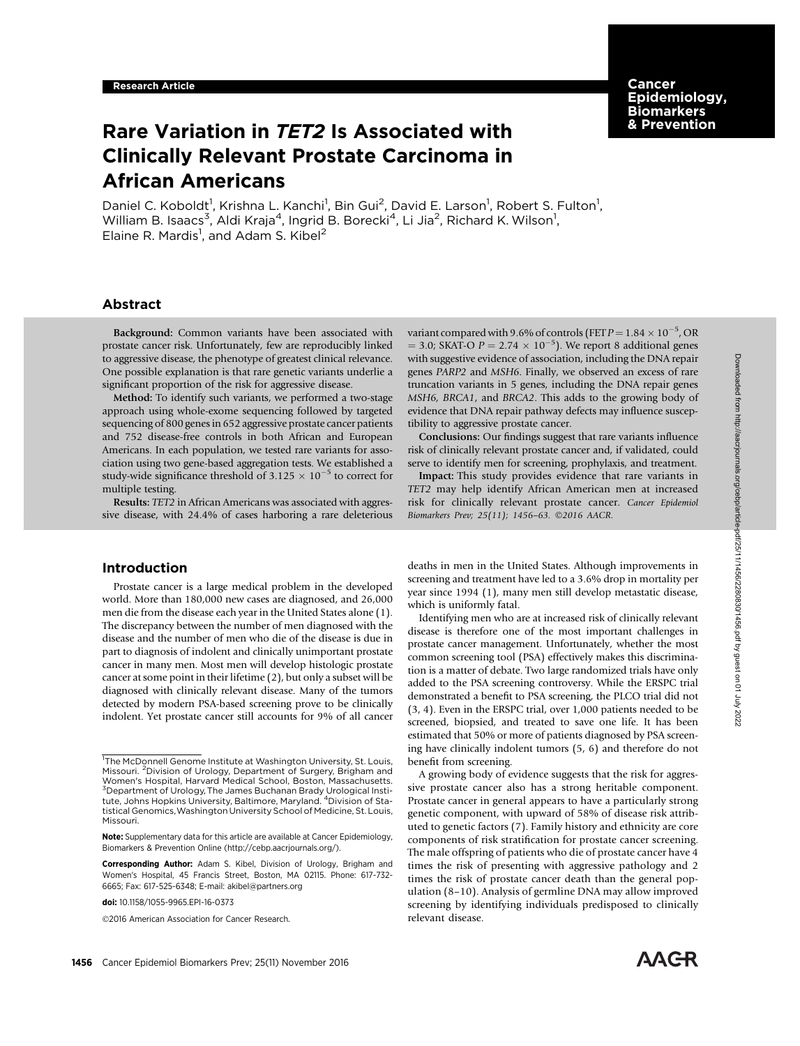**Cancer** Epidemiology, Biomarkers & Prevention

# Rare Variation in TET2 Is Associated with Clinically Relevant Prostate Carcinoma in African Americans

Daniel C. Koboldt<sup>1</sup>, Krishna L. Kanchi<sup>1</sup>, Bin Gui<sup>2</sup>, David E. Larson<sup>1</sup>, Robert S. Fulton<sup>1</sup>, William B. Isaacs $^3$ , Aldi Kraja $^4$ , Ingrid B. Borecki $^4$ , Li Jia $^2$ , Richard K. Wilson $^1$ , Elaine R. Mardis<sup>1</sup>, and Adam S. Kibel<sup>2</sup>

# Abstract

Background: Common variants have been associated with prostate cancer risk. Unfortunately, few are reproducibly linked to aggressive disease, the phenotype of greatest clinical relevance. One possible explanation is that rare genetic variants underlie a significant proportion of the risk for aggressive disease.

Method: To identify such variants, we performed a two-stage approach using whole-exome sequencing followed by targeted sequencing of 800 genes in 652 aggressive prostate cancer patients and 752 disease-free controls in both African and European Americans. In each population, we tested rare variants for association using two gene-based aggregation tests. We established a study-wide significance threshold of  $3.125 \times 10^{-5}$  to correct for multiple testing.

Results: TET2 in African Americans was associated with aggressive disease, with 24.4% of cases harboring a rare deleterious

# Introduction

Prostate cancer is a large medical problem in the developed world. More than 180,000 new cases are diagnosed, and 26,000 men die from the disease each year in the United States alone (1). The discrepancy between the number of men diagnosed with the disease and the number of men who die of the disease is due in part to diagnosis of indolent and clinically unimportant prostate cancer in many men. Most men will develop histologic prostate cancer at some point in their lifetime (2), but only a subset will be diagnosed with clinically relevant disease. Many of the tumors detected by modern PSA-based screening prove to be clinically indolent. Yet prostate cancer still accounts for 9% of all cancer

2016 American Association for Cancer Research.

variant compared with 9.6% of controls (FET  $P = 1.84 \times 10^{-5}$ , OR  $=$  3.0; SKAT-O  $P = 2.74 \times 10^{-5}$ ). We report 8 additional genes with suggestive evidence of association, including the DNA repair genes PARP2 and MSH6. Finally, we observed an excess of rare truncation variants in 5 genes, including the DNA repair genes MSH6, BRCA1, and BRCA2. This adds to the growing body of evidence that DNA repair pathway defects may influence susceptibility to aggressive prostate cancer.

Conclusions: Our findings suggest that rare variants influence risk of clinically relevant prostate cancer and, if validated, could serve to identify men for screening, prophylaxis, and treatment.

Impact: This study provides evidence that rare variants in TET2 may help identify African American men at increased risk for clinically relevant prostate cancer. Cancer Epidemiol Biomarkers Prev; 25(11); 1456-63. ©2016 AACR.

deaths in men in the United States. Although improvements in screening and treatment have led to a 3.6% drop in mortality per year since 1994 (1), many men still develop metastatic disease, which is uniformly fatal.

Identifying men who are at increased risk of clinically relevant disease is therefore one of the most important challenges in prostate cancer management. Unfortunately, whether the most common screening tool (PSA) effectively makes this discrimination is a matter of debate. Two large randomized trials have only added to the PSA screening controversy. While the ERSPC trial demonstrated a benefit to PSA screening, the PLCO trial did not (3, 4). Even in the ERSPC trial, over 1,000 patients needed to be screened, biopsied, and treated to save one life. It has been estimated that 50% or more of patients diagnosed by PSA screening have clinically indolent tumors (5, 6) and therefore do not benefit from screening.

A growing body of evidence suggests that the risk for aggressive prostate cancer also has a strong heritable component. Prostate cancer in general appears to have a particularly strong genetic component, with upward of 58% of disease risk attributed to genetic factors (7). Family history and ethnicity are core components of risk stratification for prostate cancer screening. The male offspring of patients who die of prostate cancer have 4 times the risk of presenting with aggressive pathology and 2 times the risk of prostate cancer death than the general population (8–10). Analysis of germline DNA may allow improved screening by identifying individuals predisposed to clinically relevant disease.



<sup>&</sup>lt;sup>1</sup>The McDonnell Genome Institute at Washington University, St. Louis, Missouri. <sup>2</sup>Division of Urology, Department of Surgery, Brigham and Women's Hospital, Harvard Medical School, Boston, Massachusetts. <sup>3</sup> Department of Urology, The James Buchanan Brady Urological Institute, Johns Hopkins University, Baltimore, Maryland. <sup>4</sup> Division of Statistical Genomics,Washington University School of Medicine, St. Louis, Missouri.

Note: Supplementary data for this article are available at Cancer Epidemiology, Biomarkers & Prevention Online (http://cebp.aacrjournals.org/).

Corresponding Author: Adam S. Kibel, Division of Urology, Brigham and Women's Hospital, 45 Francis Street, Boston, MA 02115. Phone: 617-732- 6665; Fax: 617-525-6348; E-mail: akibel@partners.org

doi: 10.1158/1055-9965.EPI-16-0373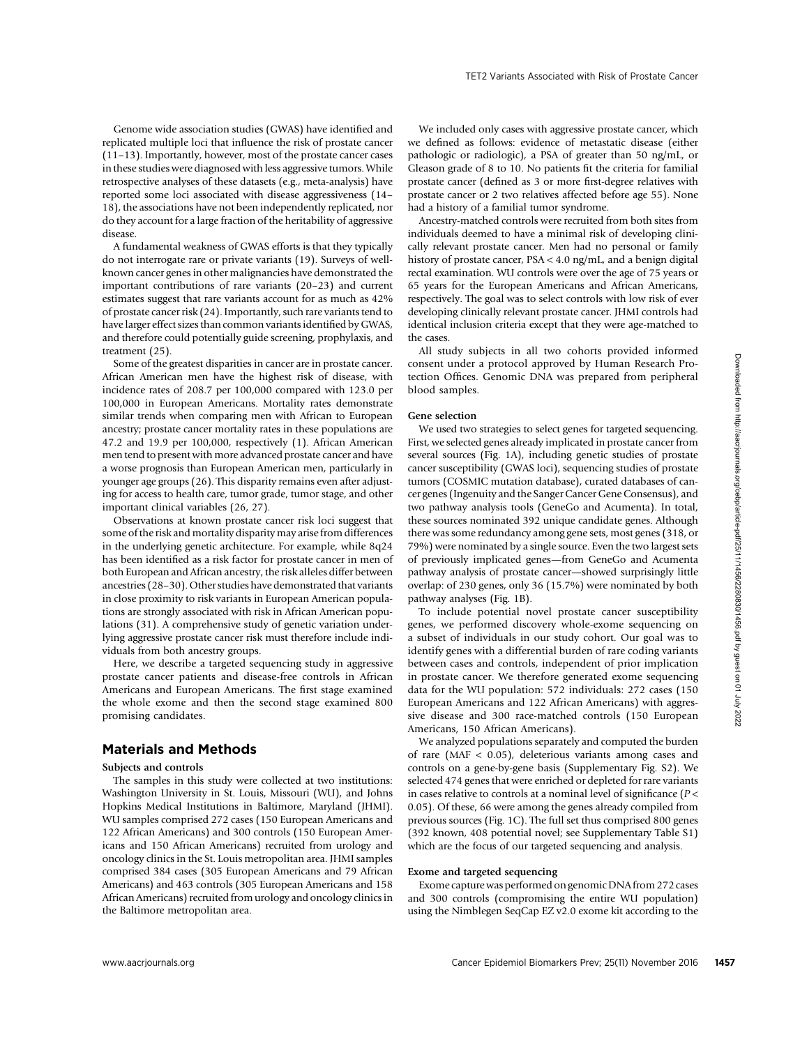Genome wide association studies (GWAS) have identified and replicated multiple loci that influence the risk of prostate cancer (11–13). Importantly, however, most of the prostate cancer cases in these studies were diagnosed with less aggressive tumors. While retrospective analyses of these datasets (e.g., meta-analysis) have reported some loci associated with disease aggressiveness (14– 18), the associations have not been independently replicated, nor do they account for a large fraction of the heritability of aggressive disease.

A fundamental weakness of GWAS efforts is that they typically do not interrogate rare or private variants (19). Surveys of wellknown cancer genes in other malignancies have demonstrated the important contributions of rare variants (20–23) and current estimates suggest that rare variants account for as much as 42% of prostate cancer risk (24). Importantly, such rare variants tend to have larger effect sizes than common variants identified by GWAS, and therefore could potentially guide screening, prophylaxis, and treatment (25).

Some of the greatest disparities in cancer are in prostate cancer. African American men have the highest risk of disease, with incidence rates of 208.7 per 100,000 compared with 123.0 per 100,000 in European Americans. Mortality rates demonstrate similar trends when comparing men with African to European ancestry; prostate cancer mortality rates in these populations are 47.2 and 19.9 per 100,000, respectively (1). African American men tend to present with more advanced prostate cancer and have a worse prognosis than European American men, particularly in younger age groups (26). This disparity remains even after adjusting for access to health care, tumor grade, tumor stage, and other important clinical variables (26, 27).

Observations at known prostate cancer risk loci suggest that some of the risk and mortality disparity may arise from differences in the underlying genetic architecture. For example, while 8q24 has been identified as a risk factor for prostate cancer in men of both European and African ancestry, the risk alleles differ between ancestries (28–30). Other studies have demonstrated that variants in close proximity to risk variants in European American populations are strongly associated with risk in African American populations (31). A comprehensive study of genetic variation underlying aggressive prostate cancer risk must therefore include individuals from both ancestry groups.

Here, we describe a targeted sequencing study in aggressive prostate cancer patients and disease-free controls in African Americans and European Americans. The first stage examined the whole exome and then the second stage examined 800 promising candidates.

# Materials and Methods

## Subjects and controls

The samples in this study were collected at two institutions: Washington University in St. Louis, Missouri (WU), and Johns Hopkins Medical Institutions in Baltimore, Maryland (JHMI). WU samples comprised 272 cases (150 European Americans and 122 African Americans) and 300 controls (150 European Americans and 150 African Americans) recruited from urology and oncology clinics in the St. Louis metropolitan area. JHMI samples comprised 384 cases (305 European Americans and 79 African Americans) and 463 controls (305 European Americans and 158 African Americans) recruited from urology and oncology clinics in the Baltimore metropolitan area.

We included only cases with aggressive prostate cancer, which we defined as follows: evidence of metastatic disease (either pathologic or radiologic), a PSA of greater than 50 ng/mL, or Gleason grade of 8 to 10. No patients fit the criteria for familial prostate cancer (defined as 3 or more first-degree relatives with prostate cancer or 2 two relatives affected before age 55). None had a history of a familial tumor syndrome.

Ancestry-matched controls were recruited from both sites from individuals deemed to have a minimal risk of developing clinically relevant prostate cancer. Men had no personal or family history of prostate cancer, PSA < 4.0 ng/mL, and a benign digital rectal examination. WU controls were over the age of 75 years or 65 years for the European Americans and African Americans, respectively. The goal was to select controls with low risk of ever developing clinically relevant prostate cancer. JHMI controls had identical inclusion criteria except that they were age-matched to the cases.

All study subjects in all two cohorts provided informed consent under a protocol approved by Human Research Protection Offices. Genomic DNA was prepared from peripheral blood samples.

### Gene selection

We used two strategies to select genes for targeted sequencing. First, we selected genes already implicated in prostate cancer from several sources (Fig. 1A), including genetic studies of prostate cancer susceptibility (GWAS loci), sequencing studies of prostate tumors (COSMIC mutation database), curated databases of cancer genes (Ingenuity and the Sanger Cancer Gene Consensus), and two pathway analysis tools (GeneGo and Acumenta). In total, these sources nominated 392 unique candidate genes. Although there was some redundancy among gene sets, most genes (318, or 79%) were nominated by a single source. Even the two largest sets of previously implicated genes—from GeneGo and Acumenta pathway analysis of prostate cancer—showed surprisingly little overlap: of 230 genes, only 36 (15.7%) were nominated by both pathway analyses (Fig. 1B). Standard dispersion of the material Biomarkers Previse Comparison in the species of the material Piomarkers Previse Cancel Biomarkers Previse Comparison in the species of the control Biomarkers Previse Cancer Expedition a

To include potential novel prostate cancer susceptibility genes, we performed discovery whole-exome sequencing on a subset of individuals in our study cohort. Our goal was to identify genes with a differential burden of rare coding variants between cases and controls, independent of prior implication in prostate cancer. We therefore generated exome sequencing data for the WU population: 572 individuals: 272 cases (150 European Americans and 122 African Americans) with aggressive disease and 300 race-matched controls (150 European Americans, 150 African Americans).

We analyzed populations separately and computed the burden of rare (MAF < 0.05), deleterious variants among cases and controls on a gene-by-gene basis (Supplementary Fig. S2). We selected 474 genes that were enriched or depleted for rare variants in cases relative to controls at a nominal level of significance ( $P$  < 0.05). Of these, 66 were among the genes already compiled from previous sources (Fig. 1C). The full set thus comprised 800 genes (392 known, 408 potential novel; see Supplementary Table S1) which are the focus of our targeted sequencing and analysis.

### Exome and targeted sequencing

Exome capture was performed on genomic DNA from 272 cases and 300 controls (compromising the entire WU population) using the Nimblegen SeqCap EZ v2.0 exome kit according to the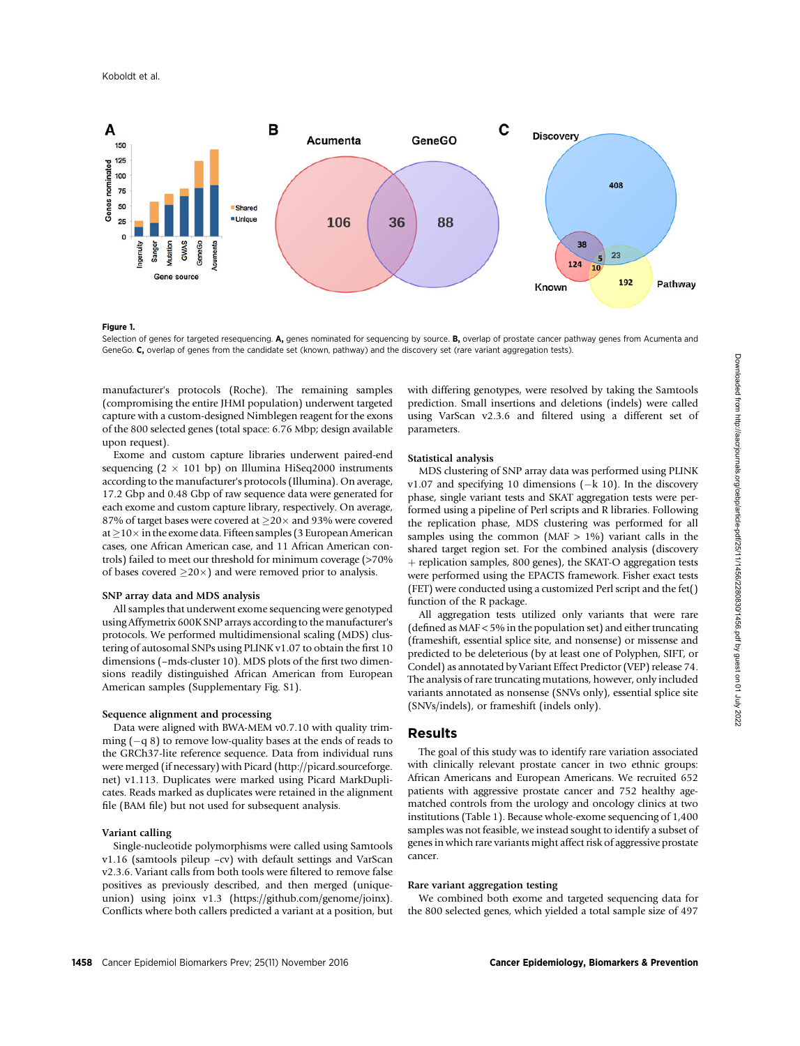

#### Figure 1.

Selection of genes for targeted resequencing. A, genes nominated for sequencing by source. B, overlap of prostate cancer pathway genes from Acumenta and GeneGo. C, overlap of genes from the candidate set (known, pathway) and the discovery set (rare variant aggregation tests).

manufacturer's protocols (Roche). The remaining samples (compromising the entire JHMI population) underwent targeted capture with a custom-designed Nimblegen reagent for the exons of the 800 selected genes (total space: 6.76 Mbp; design available upon request).

Exome and custom capture libraries underwent paired-end sequencing  $(2 \times 101$  bp) on Illumina HiSeq2000 instruments according to the manufacturer's protocols (Illumina). On average, 17.2 Gbp and 0.48 Gbp of raw sequence data were generated for each exome and custom capture library, respectively. On average, 87% of target bases were covered at  $>$ 20 $\times$  and 93% were covered at  $>10\times$  in the exome data. Fifteen samples (3 European American cases, one African American case, and 11 African American controls) failed to meet our threshold for minimum coverage (>70% of bases covered  $\geq$ 20 $\times$ ) and were removed prior to analysis.

### SNP array data and MDS analysis

All samples that underwent exome sequencing were genotyped using Affymetrix 600K SNP arrays according to the manufacturer's protocols. We performed multidimensional scaling (MDS) clustering of autosomal SNPs using PLINK v1.07 to obtain the first 10 dimensions (–mds-cluster 10). MDS plots of the first two dimensions readily distinguished African American from European American samples (Supplementary Fig. S1).

### Sequence alignment and processing

Data were aligned with BWA-MEM v0.7.10 with quality trimming  $(-q 8)$  to remove low-quality bases at the ends of reads to the GRCh37-lite reference sequence. Data from individual runs were merged (if necessary) with Picard (http://picard.sourceforge. net) v1.113. Duplicates were marked using Picard MarkDuplicates. Reads marked as duplicates were retained in the alignment file (BAM file) but not used for subsequent analysis.

### Variant calling

Single-nucleotide polymorphisms were called using Samtools v1.16 (samtools pileup –cv) with default settings and VarScan v2.3.6. Variant calls from both tools were filtered to remove false positives as previously described, and then merged (uniqueunion) using joinx v1.3 (https://github.com/genome/joinx). Conflicts where both callers predicted a variant at a position, but with differing genotypes, were resolved by taking the Samtools prediction. Small insertions and deletions (indels) were called using VarScan v2.3.6 and filtered using a different set of parameters.

### Statistical analysis

MDS clustering of SNP array data was performed using PLINK v1.07 and specifying 10 dimensions  $(-k 10)$ . In the discovery phase, single variant tests and SKAT aggregation tests were performed using a pipeline of Perl scripts and R libraries. Following the replication phase, MDS clustering was performed for all samples using the common (MAF  $> 1\%$ ) variant calls in the shared target region set. For the combined analysis (discovery þ replication samples, 800 genes), the SKAT-O aggregation tests were performed using the EPACTS framework. Fisher exact tests (FET) were conducted using a customized Perl script and the fet() function of the R package.

All aggregation tests utilized only variants that were rare (defined as MAF < 5% in the population set) and either truncating (frameshift, essential splice site, and nonsense) or missense and predicted to be deleterious (by at least one of Polyphen, SIFT, or Condel) as annotated by Variant Effect Predictor (VEP) release 74. The analysis of rare truncating mutations, however, only included variants annotated as nonsense (SNVs only), essential splice site (SNVs/indels), or frameshift (indels only).

# Results

The goal of this study was to identify rare variation associated with clinically relevant prostate cancer in two ethnic groups: African Americans and European Americans. We recruited 652 patients with aggressive prostate cancer and 752 healthy agematched controls from the urology and oncology clinics at two institutions (Table 1). Because whole-exome sequencing of 1,400 samples was not feasible, we instead sought to identify a subset of genes in which rare variants might affect risk of aggressive prostate cancer.

## Rare variant aggregation testing

We combined both exome and targeted sequencing data for the 800 selected genes, which yielded a total sample size of 497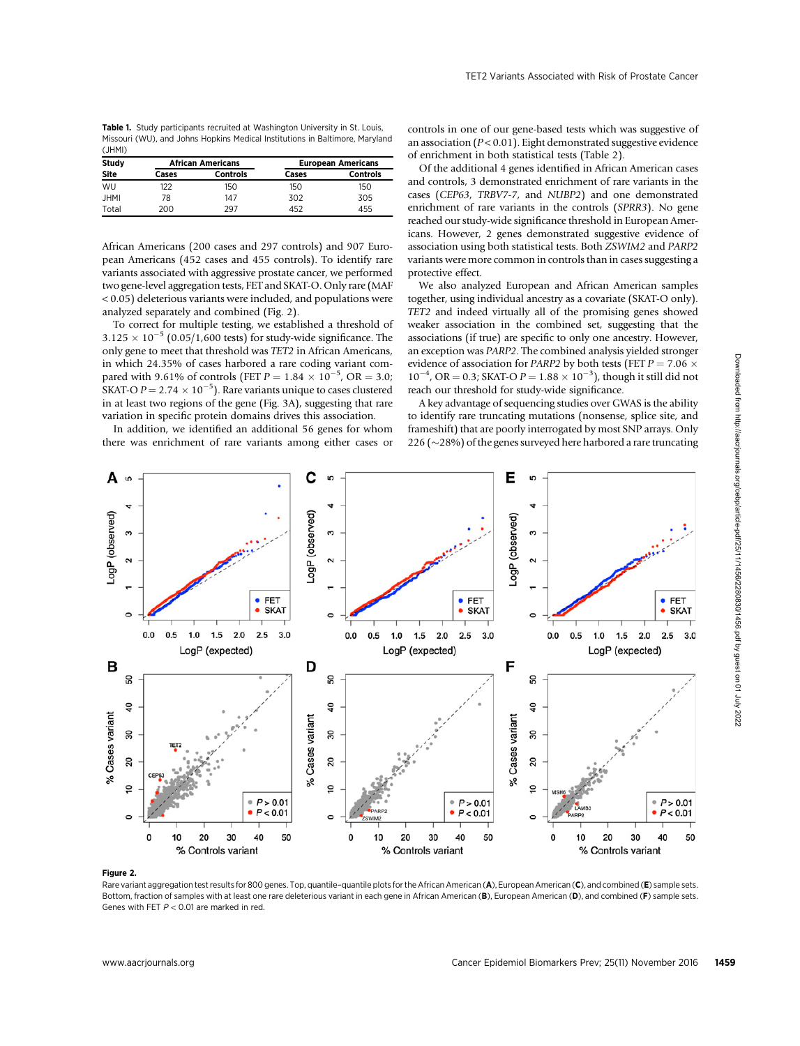Table 1. Study participants recruited at Washington University in St. Louis, Missouri (WU), and Johns Hopkins Medical Institutions in Baltimore, Maryland (JHMI)

| Study       | <b>African Americans</b> |                 | <b>European Americans</b> |                 |  |
|-------------|--------------------------|-----------------|---------------------------|-----------------|--|
| <b>Site</b> | Cases                    | <b>Controls</b> | Cases                     | <b>Controls</b> |  |
| WU          | 122                      | 150             | 150                       | 150             |  |
| <b>JHMI</b> | 78                       | 147             | 302                       | 305             |  |
| Total       | 200                      | 297             | 452                       | 455             |  |

African Americans (200 cases and 297 controls) and 907 European Americans (452 cases and 455 controls). To identify rare variants associated with aggressive prostate cancer, we performed two gene-level aggregation tests, FET and SKAT-O. Only rare (MAF < 0.05) deleterious variants were included, and populations were analyzed separately and combined (Fig. 2).

To correct for multiple testing, we established a threshold of  $3.125 \times 10^{-5}$  (0.05/1,600 tests) for study-wide significance. The only gene to meet that threshold was TET2 in African Americans, in which 24.35% of cases harbored a rare coding variant compared with 9.61% of controls (FET  $P = 1.84 \times 10^{-5}$ , OR = 3.0; SKAT-O  $P = 2.74 \times 10^{-5}$ ). Rare variants unique to cases clustered in at least two regions of the gene (Fig. 3A), suggesting that rare variation in specific protein domains drives this association.

In addition, we identified an additional 56 genes for whom there was enrichment of rare variants among either cases or controls in one of our gene-based tests which was suggestive of an association ( $P < 0.01$ ). Eight demonstrated suggestive evidence of enrichment in both statistical tests (Table 2).

Of the additional 4 genes identified in African American cases and controls, 3 demonstrated enrichment of rare variants in the cases (CEP63, TRBV7-7, and NUBP2) and one demonstrated enrichment of rare variants in the controls (SPRR3). No gene reached our study-wide significance threshold in European Americans. However, 2 genes demonstrated suggestive evidence of association using both statistical tests. Both ZSWIM2 and PARP2 variants were more common in controls than in cases suggesting a protective effect.

We also analyzed European and African American samples together, using individual ancestry as a covariate (SKAT-O only). TET2 and indeed virtually all of the promising genes showed weaker association in the combined set, suggesting that the associations (if true) are specific to only one ancestry. However, an exception was PARP2. The combined analysis yielded stronger evidence of association for PARP2 by both tests (FET  $P = 7.06 \times$  $10^{-4}$ , OR = 0.3; SKAT-O  $P = 1.88 \times 10^{-3}$ ), though it still did not reach our threshold for study-wide significance.

A key advantage of sequencing studies over GWAS is the ability to identify rare truncating mutations (nonsense, splice site, and frameshift) that are poorly interrogated by most SNP arrays. Only 226 ( $\sim$ 28%) of the genes surveyed here harbored a rare truncating



#### Figure 2.

Rare variant aggregation test results for 800 genes. Top, quantile-quantile plots for the African American (A), European American (C), and combined (E) sample sets. Bottom, fraction of samples with at least one rare deleterious variant in each gene in African American (B), European American (D), and combined (F) sample sets. Genes with FET  $P < 0.01$  are marked in red.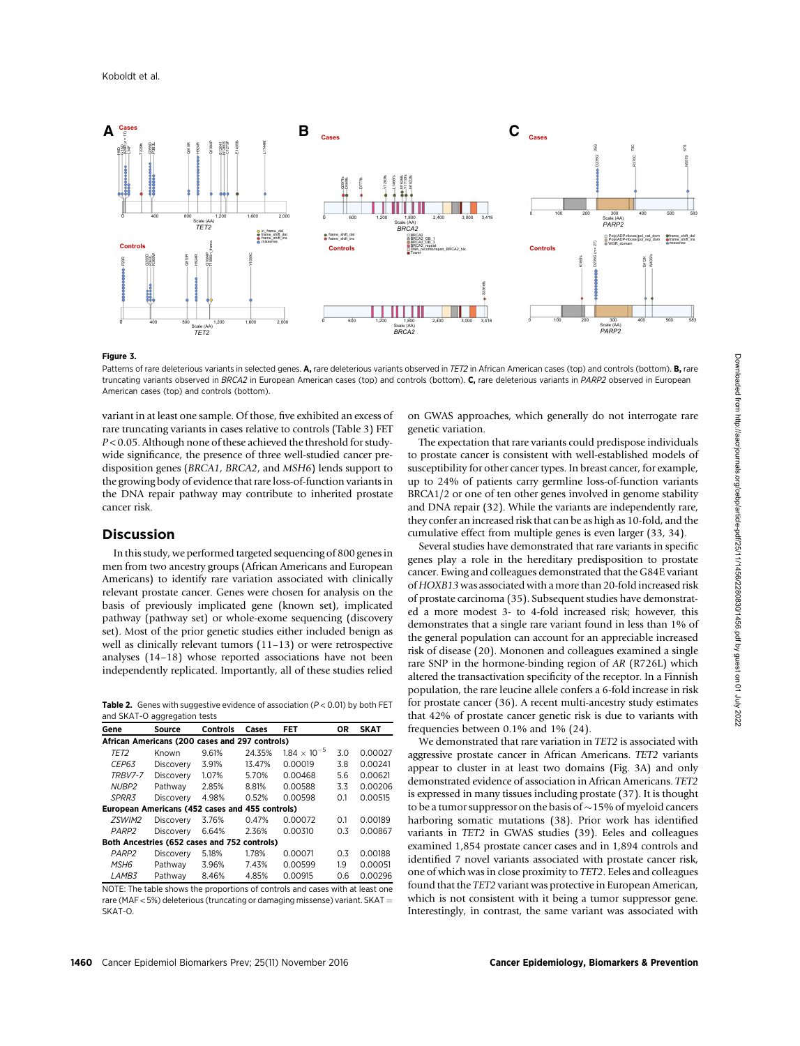

#### Figure 3.

Patterns of rare deleterious variants in selected genes. A, rare deleterious variants observed in TET2 in African American cases (top) and controls (bottom). B, rare truncating variants observed in BRCA2 in European American cases (top) and controls (bottom). C, rare deleterious variants in PARP2 observed in European American cases (top) and controls (bottom).

variant in at least one sample. Of those, five exhibited an excess of rare truncating variants in cases relative to controls (Table 3) FET P < 0.05. Although none of these achieved the threshold for studywide significance, the presence of three well-studied cancer predisposition genes (BRCA1, BRCA2, and MSH6) lends support to the growing body of evidence that rare loss-of-function variants in the DNA repair pathway may contribute to inherited prostate cancer risk.

# Discussion

In this study, we performed targeted sequencing of 800 genes in men from two ancestry groups (African Americans and European Americans) to identify rare variation associated with clinically relevant prostate cancer. Genes were chosen for analysis on the basis of previously implicated gene (known set), implicated pathway (pathway set) or whole-exome sequencing (discovery set). Most of the prior genetic studies either included benign as well as clinically relevant tumors (11–13) or were retrospective analyses (14–18) whose reported associations have not been independently replicated. Importantly, all of these studies relied

**Table 2.** Genes with suggestive evidence of association ( $P < 0.01$ ) by both FET and SKAT-O aggregation tests

| Gene                                            | Source    | <b>Controls</b> | Cases  | FET                   | ΟR  | <b>SKAT</b> |  |  |  |
|-------------------------------------------------|-----------|-----------------|--------|-----------------------|-----|-------------|--|--|--|
| African Americans (200 cases and 297 controls)  |           |                 |        |                       |     |             |  |  |  |
| TET2                                            | Known     | 9.61%           | 24.35% | $1.84 \times 10^{-5}$ | 3.0 | 0.00027     |  |  |  |
| CEP63                                           | Discovery | 3.91%           | 13.47% | 0.00019               | 3.8 | 0.00241     |  |  |  |
| TRBV7-7                                         | Discovery | 1.07%           | 5.70%  | 0.00468               | 5.6 | 0.00621     |  |  |  |
| NUBP <sub>2</sub>                               | Pathway   | 2.85%           | 8.81%  | 0.00588               | 3.3 | 0.00206     |  |  |  |
| SPRR <sub>3</sub>                               | Discovery | 4.98%           | 0.52%  | 0.00598               | 0.1 | 0.00515     |  |  |  |
| European Americans (452 cases and 455 controls) |           |                 |        |                       |     |             |  |  |  |
| ZSWIM2                                          | Discovery | 3.76%           | 0.47%  | 0.00072               | 0.1 | 0.00189     |  |  |  |
| PARP <sub>2</sub>                               | Discovery | 6.64%           | 2.36%  | 0.00310               | 0.3 | 0.00867     |  |  |  |
| Both Ancestries (652 cases and 752 controls)    |           |                 |        |                       |     |             |  |  |  |
| PARP <sub>2</sub>                               | Discovery | 5.18%           | 1.78%  | 0.00071               | 0.3 | 0.00188     |  |  |  |
| MSH <sub>6</sub>                                | Pathway   | 3.96%           | 7.43%  | 0.00599               | 1.9 | 0.00051     |  |  |  |
| LAMB <sub>3</sub>                               | Pathway   | 8.46%           | 4.85%  | 0.00915               | 0.6 | 0.00296     |  |  |  |

NOTE: The table shows the proportions of controls and cases with at least one rare (MAF  $<$  5%) deleterious (truncating or damaging missense) variant. SKAT  $=$ SKAT-O.

on GWAS approaches, which generally do not interrogate rare genetic variation.

The expectation that rare variants could predispose individuals to prostate cancer is consistent with well-established models of susceptibility for other cancer types. In breast cancer, for example, up to 24% of patients carry germline loss-of-function variants BRCA1/2 or one of ten other genes involved in genome stability and DNA repair (32). While the variants are independently rare, they confer an increased risk that can be as high as 10-fold, and the cumulative effect from multiple genes is even larger (33, 34).

Several studies have demonstrated that rare variants in specific genes play a role in the hereditary predisposition to prostate cancer. Ewing and colleagues demonstrated that the G84E variant of HOXB13 was associated with a more than 20-fold increased risk of prostate carcinoma (35). Subsequent studies have demonstrated a more modest 3- to 4-fold increased risk; however, this demonstrates that a single rare variant found in less than 1% of the general population can account for an appreciable increased risk of disease (20). Mononen and colleagues examined a single rare SNP in the hormone-binding region of AR (R726L) which altered the transactivation specificity of the receptor. In a Finnish population, the rare leucine allele confers a 6-fold increase in risk for prostate cancer (36). A recent multi-ancestry study estimates that 42% of prostate cancer genetic risk is due to variants with frequencies between 0.1% and 1% (24).

We demonstrated that rare variation in TET2 is associated with aggressive prostate cancer in African Americans. TET2 variants appear to cluster in at least two domains (Fig. 3A) and only demonstrated evidence of association in African Americans. TET2 is expressed in many tissues including prostate (37). It is thought to be a tumor suppressor on the basis of  $\sim$  15% of myeloid cancers harboring somatic mutations (38). Prior work has identified variants in TET2 in GWAS studies (39). Eeles and colleagues examined 1,854 prostate cancer cases and in 1,894 controls and identified 7 novel variants associated with prostate cancer risk, one of which was in close proximity to TET2. Eeles and colleagues found that the TET2 variant was protective in European American, which is not consistent with it being a tumor suppressor gene. Interestingly, in contrast, the same variant was associated with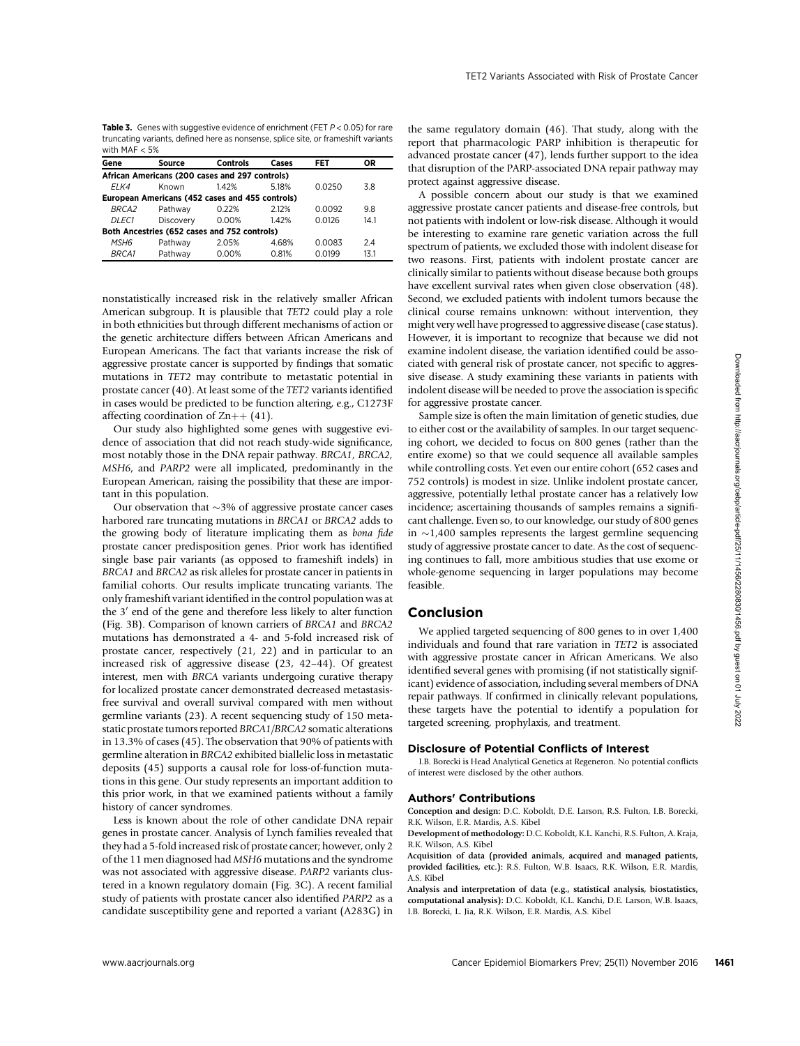Table 3. Genes with suggestive evidence of enrichment (FET  $P < 0.05$ ) for rare truncating variants, defined here as nonsense, splice site, or frameshift variants with MAF < 5%

| Gene                                           | Source                                          | <b>Controls</b> | Cases | FET    | OR.  |  |  |  |
|------------------------------------------------|-------------------------------------------------|-----------------|-------|--------|------|--|--|--|
| African Americans (200 cases and 297 controls) |                                                 |                 |       |        |      |  |  |  |
| FI K4                                          | Known                                           | 142%            | 518%  | 0.0250 | 38   |  |  |  |
|                                                | European Americans (452 cases and 455 controls) |                 |       |        |      |  |  |  |
| <b>BRCA2</b>                                   | Pathway                                         | 0.22%           | 212%  | 0.0092 | 9.8  |  |  |  |
| <i>DLEC1</i>                                   | Discovery                                       | 0.00%           | 142%  | 0.0126 | 14.1 |  |  |  |
|                                                | Both Ancestries (652 cases and 752 controls)    |                 |       |        |      |  |  |  |
| MSH6                                           | Pathway                                         | 2.05%           | 4.68% | 0.0083 | 2.4  |  |  |  |
| <i>BRCA1</i>                                   | Pathway                                         | 0.00%           | 0.81% | 0.0199 | 13.1 |  |  |  |

nonstatistically increased risk in the relatively smaller African American subgroup. It is plausible that TET2 could play a role in both ethnicities but through different mechanisms of action or the genetic architecture differs between African Americans and European Americans. The fact that variants increase the risk of aggressive prostate cancer is supported by findings that somatic mutations in TET2 may contribute to metastatic potential in prostate cancer (40). At least some of the TET2 variants identified in cases would be predicted to be function altering, e.g., C1273F affecting coordination of  $\text{Zn++}$  (41).

Our study also highlighted some genes with suggestive evidence of association that did not reach study-wide significance, most notably those in the DNA repair pathway. BRCA1, BRCA2, MSH6, and PARP2 were all implicated, predominantly in the European American, raising the possibility that these are important in this population.

Our observation that  $\sim$ 3% of aggressive prostate cancer cases harbored rare truncating mutations in BRCA1 or BRCA2 adds to the growing body of literature implicating them as bona fide prostate cancer predisposition genes. Prior work has identified single base pair variants (as opposed to frameshift indels) in BRCA1 and BRCA2 as risk alleles for prostate cancer in patients in familial cohorts. Our results implicate truncating variants. The only frameshift variant identified in the control population was at the  $3'$  end of the gene and therefore less likely to alter function (Fig. 3B). Comparison of known carriers of BRCA1 and BRCA2 mutations has demonstrated a 4- and 5-fold increased risk of prostate cancer, respectively (21, 22) and in particular to an increased risk of aggressive disease (23, 42–44). Of greatest interest, men with BRCA variants undergoing curative therapy for localized prostate cancer demonstrated decreased metastasisfree survival and overall survival compared with men without germline variants (23). A recent sequencing study of 150 metastatic prostate tumors reported BRCA1/BRCA2 somatic alterations in 13.3% of cases (45). The observation that 90% of patients with germline alteration in BRCA2 exhibited biallelic loss in metastatic deposits (45) supports a causal role for loss-of-function mutations in this gene. Our study represents an important addition to this prior work, in that we examined patients without a family history of cancer syndromes.

Less is known about the role of other candidate DNA repair genes in prostate cancer. Analysis of Lynch families revealed that they had a 5-fold increased risk of prostate cancer; however, only 2 of the 11 men diagnosed had MSH6 mutations and the syndrome was not associated with aggressive disease. PARP2 variants clustered in a known regulatory domain (Fig. 3C). A recent familial study of patients with prostate cancer also identified PARP2 as a candidate susceptibility gene and reported a variant (A283G) in the same regulatory domain (46). That study, along with the report that pharmacologic PARP inhibition is therapeutic for advanced prostate cancer (47), lends further support to the idea that disruption of the PARP-associated DNA repair pathway may protect against aggressive disease.

A possible concern about our study is that we examined aggressive prostate cancer patients and disease-free controls, but not patients with indolent or low-risk disease. Although it would be interesting to examine rare genetic variation across the full spectrum of patients, we excluded those with indolent disease for two reasons. First, patients with indolent prostate cancer are clinically similar to patients without disease because both groups have excellent survival rates when given close observation (48). Second, we excluded patients with indolent tumors because the clinical course remains unknown: without intervention, they might very well have progressed to aggressive disease (case status). However, it is important to recognize that because we did not examine indolent disease, the variation identified could be associated with general risk of prostate cancer, not specific to aggressive disease. A study examining these variants in patients with indolent disease will be needed to prove the association is specific for aggressive prostate cancer.

Sample size is often the main limitation of genetic studies, due to either cost or the availability of samples. In our target sequencing cohort, we decided to focus on 800 genes (rather than the entire exome) so that we could sequence all available samples while controlling costs. Yet even our entire cohort (652 cases and 752 controls) is modest in size. Unlike indolent prostate cancer, aggressive, potentially lethal prostate cancer has a relatively low incidence; ascertaining thousands of samples remains a significant challenge. Even so, to our knowledge, our study of 800 genes in  $\sim$ 1,400 samples represents the largest germline sequencing study of aggressive prostate cancer to date. As the cost of sequencing continues to fall, more ambitious studies that use exome or whole-genome sequencing in larger populations may become feasible.

## Conclusion

We applied targeted sequencing of 800 genes to in over 1,400 individuals and found that rare variation in TET2 is associated with aggressive prostate cancer in African Americans. We also identified several genes with promising (if not statistically significant) evidence of association, including several members of DNA repair pathways. If confirmed in clinically relevant populations, these targets have the potential to identify a population for targeted screening, prophylaxis, and treatment.

### Disclosure of Potential Conflicts of Interest

I.B. Borecki is Head Analytical Genetics at Regeneron. No potential conflicts of interest were disclosed by the other authors.

### Authors' Contributions

Conception and design: D.C. Koboldt, D.E. Larson, R.S. Fulton, I.B. Borecki, R.K. Wilson, E.R. Mardis, A.S. Kibel

Development of methodology: D.C. Koboldt, K.L. Kanchi, R.S. Fulton, A. Kraja, R.K. Wilson, A.S. Kibel

Acquisition of data (provided animals, acquired and managed patients, provided facilities, etc.): R.S. Fulton, W.B. Isaacs, R.K. Wilson, E.R. Mardis, A.S. Kibel

Analysis and interpretation of data (e.g., statistical analysis, biostatistics, computational analysis): D.C. Koboldt, K.L. Kanchi, D.E. Larson, W.B. Isaacs, I.B. Borecki, L. Jia, R.K. Wilson, E.R. Mardis, A.S. Kibel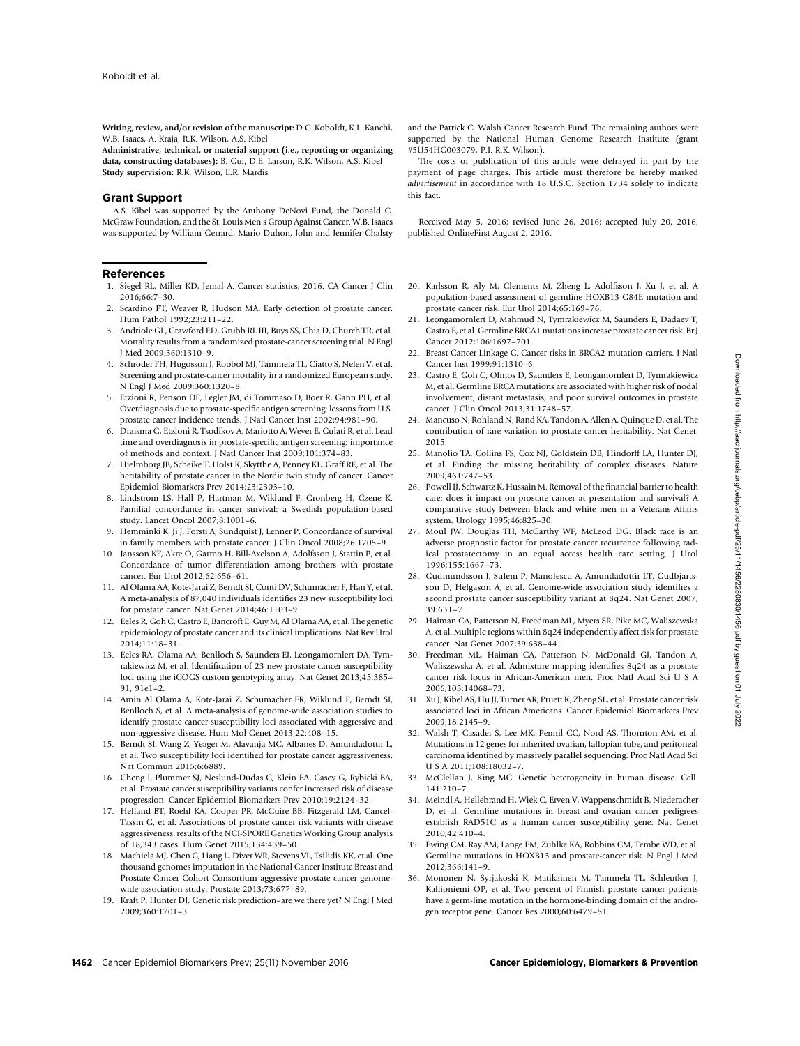Writing, review, and/or revision of the manuscript: D.C. Koboldt, K.L. Kanchi, W.B. Isaacs, A. Kraja, R.K. Wilson, A.S. Kibel

Administrative, technical, or material support (i.e., reporting or organizing data, constructing databases): B. Gui, D.E. Larson, R.K. Wilson, A.S. Kibel Study supervision: R.K. Wilson, E.R. Mardis

### Grant Support

A.S. Kibel was supported by the Anthony DeNovi Fund, the Donald C. McGraw Foundation, and the St. Louis Men's Group Against Cancer. W.B. Isaacs was supported by William Gerrard, Mario Duhon, John and Jennifer Chalsty

#### **References**

- 1. Siegel RL, Miller KD, Jemal A. Cancer statistics, 2016. CA Cancer J Clin 2016;66:7–30.
- 2. Scardino PT, Weaver R, Hudson MA. Early detection of prostate cancer. Hum Pathol 1992;23:211–22.
- 3. Andriole GL, Crawford ED, Grubb RL III, Buys SS, Chia D, Church TR, et al. Mortality results from a randomized prostate-cancer screening trial. N Engl J Med 2009;360:1310–9.
- 4. Schroder FH, Hugosson J, Roobol MJ, Tammela TL, Ciatto S, Nelen V, et al. Screening and prostate-cancer mortality in a randomized European study. N Engl J Med 2009;360:1320–8.
- 5. Etzioni R, Penson DF, Legler JM, di Tommaso D, Boer R, Gann PH, et al. Overdiagnosis due to prostate-specific antigen screening: lessons from U.S. prostate cancer incidence trends. J Natl Cancer Inst 2002;94:981–90.
- 6. Draisma G, Etzioni R, Tsodikov A, Mariotto A, Wever E, Gulati R, et al. Lead time and overdiagnosis in prostate-specific antigen screening: importance of methods and context. J Natl Cancer Inst 2009;101:374–83.
- 7. Hjelmborg JB, Scheike T, Holst K, Skytthe A, Penney KL, Graff RE, et al. The heritability of prostate cancer in the Nordic twin study of cancer. Cancer Epidemiol Biomarkers Prev 2014;23:2303–10.
- 8. Lindstrom LS, Hall P, Hartman M, Wiklund F, Gronberg H, Czene K. Familial concordance in cancer survival: a Swedish population-based study. Lancet Oncol 2007;8:1001–6.
- 9. Hemminki K, Ji J, Forsti A, Sundquist J, Lenner P. Concordance of survival in family members with prostate cancer. J Clin Oncol 2008;26:1705–9.
- 10. Jansson KF, Akre O, Garmo H, Bill-Axelson A, Adolfsson J, Stattin P, et al. Concordance of tumor differentiation among brothers with prostate cancer. Eur Urol 2012;62:656–61.
- 11. Al Olama AA, Kote-Jarai Z, Berndt SI, Conti DV, Schumacher F, Han Y, et al. A meta-analysis of 87,040 individuals identifies 23 new susceptibility loci for prostate cancer. Nat Genet 2014;46:1103–9.
- 12. Eeles R, Goh C, Castro E, Bancroft E, Guy M, Al Olama AA, et al. The genetic epidemiology of prostate cancer and its clinical implications. Nat Rev Urol 2014;11:18–31.
- 13. Eeles RA, Olama AA, Benlloch S, Saunders EJ, Leongamornlert DA, Tymrakiewicz M, et al. Identification of 23 new prostate cancer susceptibility loci using the iCOGS custom genotyping array. Nat Genet 2013;45:385– 91, 91e1–2.
- 14. Amin Al Olama A, Kote-Jarai Z, Schumacher FR, Wiklund F, Berndt SI, Benlloch S, et al. A meta-analysis of genome-wide association studies to identify prostate cancer susceptibility loci associated with aggressive and non-aggressive disease. Hum Mol Genet 2013;22:408–15.
- 15. Berndt SI, Wang Z, Yeager M, Alavanja MC, Albanes D, Amundadottir L, et al. Two susceptibility loci identified for prostate cancer aggressiveness. Nat Commun 2015;6:6889.
- 16. Cheng I, Plummer SJ, Neslund-Dudas C, Klein EA, Casey G, Rybicki BA, et al. Prostate cancer susceptibility variants confer increased risk of disease progression. Cancer Epidemiol Biomarkers Prev 2010;19:2124–32.
- 17. Helfand BT, Roehl KA, Cooper PR, McGuire BB, Fitzgerald LM, Cancel-Tassin G, et al. Associations of prostate cancer risk variants with disease aggressiveness: results of the NCI-SPORE Genetics Working Group analysis of 18,343 cases. Hum Genet 2015;134:439–50.
- 18. Machiela MJ, Chen C, Liang L, Diver WR, Stevens VL, Tsilidis KK, et al. One thousand genomes imputation in the National Cancer Institute Breast and Prostate Cancer Cohort Consortium aggressive prostate cancer genomewide association study. Prostate 2013;73:677–89.
- 19. Kraft P, Hunter DJ. Genetic risk prediction–are we there yet? N Engl J Med 2009;360:1701–3.

and the Patrick C. Walsh Cancer Research Fund. The remaining authors were supported by the National Human Genome Research Institute (grant #5U54HG003079, P.I. R.K. Wilson).

The costs of publication of this article were defrayed in part by the payment of page charges. This article must therefore be hereby marked advertisement in accordance with 18 U.S.C. Section 1734 solely to indicate this fact.

Received May 5, 2016; revised June 26, 2016; accepted July 20, 2016; published OnlineFirst August 2, 2016.

- 20. Karlsson R, Aly M, Clements M, Zheng L, Adolfsson J, Xu J, et al. A population-based assessment of germline HOXB13 G84E mutation and prostate cancer risk. Eur Urol 2014;65:169–76.
- 21. Leongamornlert D, Mahmud N, Tymrakiewicz M, Saunders E, Dadaev T, Castro E, et al. Germline BRCA1 mutations increase prostate cancer risk. Br J Cancer 2012;106:1697–701.
- 22. Breast Cancer Linkage C. Cancer risks in BRCA2 mutation carriers. J Natl Cancer Inst 1999;91:1310–6.
- 23. Castro E, Goh C, Olmos D, Saunders E, Leongamornlert D, Tymrakiewicz M, et al. Germline BRCA mutations are associated with higher risk of nodal involvement, distant metastasis, and poor survival outcomes in prostate cancer. J Clin Oncol 2013;31:1748–57.
- 24. Mancuso N, Rohland N, Rand KA, Tandon A, Allen A, Quinque D, et al. The contribution of rare variation to prostate cancer heritability. Nat Genet. 2015.
- 25. Manolio TA, Collins FS, Cox NJ, Goldstein DB, Hindorff LA, Hunter DJ, et al. Finding the missing heritability of complex diseases. Nature 2009;461:747–53.
- 26. Powell IJ, Schwartz K, Hussain M. Removal of the financial barrier to health care: does it impact on prostate cancer at presentation and survival? A comparative study between black and white men in a Veterans Affairs system. Urology 1995;46:825–30.
- 27. Moul JW, Douglas TH, McCarthy WF, McLeod DG. Black race is an adverse prognostic factor for prostate cancer recurrence following radical prostatectomy in an equal access health care setting. J Urol 1996;155:1667–73.
- 28. Gudmundsson J, Sulem P, Manolescu A, Amundadottir LT, Gudbjartsson D, Helgason A, et al. Genome-wide association study identifies a second prostate cancer susceptibility variant at 8q24. Nat Genet 2007; 39:631–7.
- 29. Haiman CA, Patterson N, Freedman ML, Myers SR, Pike MC, Waliszewska A, et al. Multiple regions within 8q24 independently affect risk for prostate cancer. Nat Genet 2007;39:638–44.
- 30. Freedman ML, Haiman CA, Patterson N, McDonald GJ, Tandon A, Waliszewska A, et al. Admixture mapping identifies 8q24 as a prostate cancer risk locus in African-American men. Proc Natl Acad Sci U S A 2006;103:14068–73.
- 31. Xu J, Kibel AS, Hu JJ, Turner AR, Pruett K, Zheng SL, et al. Prostate cancer risk associated loci in African Americans. Cancer Epidemiol Biomarkers Prev 2009;18:2145–9.
- 32. Walsh T, Casadei S, Lee MK, Pennil CC, Nord AS, Thornton AM, et al. Mutations in 12 genes for inherited ovarian, fallopian tube, and peritoneal carcinoma identified by massively parallel sequencing. Proc Natl Acad Sci U S A 2011;108:18032–7.
- 33. McClellan J, King MC. Genetic heterogeneity in human disease. Cell. 141:210–7.
- 34. Meindl A, Hellebrand H, Wiek C, Erven V, Wappenschmidt B, Niederacher D, et al. Germline mutations in breast and ovarian cancer pedigrees establish RAD51C as a human cancer susceptibility gene. Nat Genet 2010;42:410–4.
- 35. Ewing CM, Ray AM, Lange EM, Zuhlke KA, Robbins CM, Tembe WD, et al. Germline mutations in HOXB13 and prostate-cancer risk. N Engl J Med 2012;366:141–9.
- 36. Mononen N, Syrjakoski K, Matikainen M, Tammela TL, Schleutker J, Kallioniemi OP, et al. Two percent of Finnish prostate cancer patients have a germ-line mutation in the hormone-binding domain of the androgen receptor gene. Cancer Res 2000;60:6479–81.